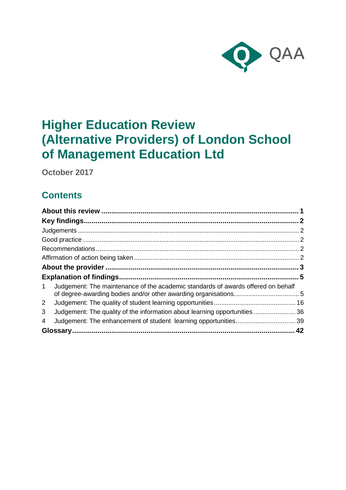

# **Higher Education Review (Alternative Providers) of London School of Management Education Ltd**

**October 2017**

## **Contents**

| $\mathbf{1}$ | Judgement: The maintenance of the academic standards of awards offered on behalf |  |
|--------------|----------------------------------------------------------------------------------|--|
| $2^{\circ}$  |                                                                                  |  |
| 3            | Judgement: The quality of the information about learning opportunities 36        |  |
| 4            |                                                                                  |  |
|              |                                                                                  |  |
|              |                                                                                  |  |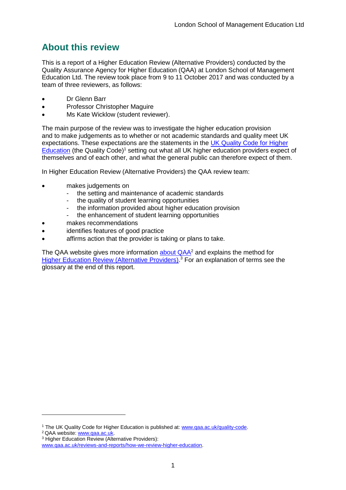## <span id="page-1-0"></span>**About this review**

This is a report of a Higher Education Review (Alternative Providers) conducted by the Quality Assurance Agency for Higher Education (QAA) at London School of Management Education Ltd. The review took place from 9 to 11 October 2017 and was conducted by a team of three reviewers, as follows:

- Dr Glenn Barr
- Professor Christopher Maguire
- Ms Kate Wicklow (student reviewer).

The main purpose of the review was to investigate the higher education provision and to make judgements as to whether or not academic standards and quality meet UK expectations. These expectations are the statements in the [UK Quality Code for Higher](http://www.qaa.ac.uk/assuring-standards-and-quality/the-quality-code)  [Education](http://www.qaa.ac.uk/assuring-standards-and-quality/the-quality-code) (the Quality Code)<sup>1</sup> setting out what all UK higher education providers expect of themselves and of each other, and what the general public can therefore expect of them.

In Higher Education Review (Alternative Providers) the QAA review team:

- makes judgements on
	- the setting and maintenance of academic standards
	- the quality of student learning opportunities
	- the information provided about higher education provision
	- the enhancement of student learning opportunities
- makes recommendations
- identifies features of good practice
- affirms action that the provider is taking or plans to take.

The QAA website gives more information [about QAA](http://www.qaa.ac.uk/)<sup>2</sup> and explains the method for [Higher Education Review \(Alternative Providers\).](http://www.qaa.ac.uk/reviews-and-reports/how-we-review-higher-education)<sup>3</sup> For an explanation of terms see the glossary at the end of this report.

-

<sup>&</sup>lt;sup>1</sup> The UK Quality Code for Higher Education is published at: [www.qaa.ac.uk/quality-code.](http://www.qaa.ac.uk/quality-code)

<sup>2</sup> QAA website: [www.qaa.ac.uk.](http://www.qaa.ac.uk/)

<sup>3</sup> Higher Education Review (Alternative Providers):

[www.qaa.ac.uk/reviews-and-reports/how-we-review-higher-education.](http://www.qaa.ac.uk/reviews-and-reports/how-we-review-higher-education)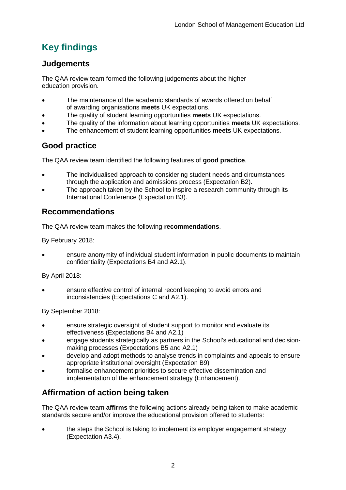## <span id="page-2-0"></span>**Key findings**

## <span id="page-2-1"></span>**Judgements**

The QAA review team formed the following judgements about the higher education provision.

- The maintenance of the academic standards of awards offered on behalf of awarding organisations **meets** UK expectations.
- The quality of student learning opportunities **meets** UK expectations.
- The quality of the information about learning opportunities **meets** UK expectations.
- The enhancement of student learning opportunities **meets** UK expectations.

## <span id="page-2-2"></span>**Good practice**

The QAA review team identified the following features of **good practice**.

- The individualised approach to considering student needs and circumstances through the application and admissions process (Expectation B2).
- The approach taken by the School to inspire a research community through its International Conference (Expectation B3).

## <span id="page-2-3"></span>**Recommendations**

The QAA review team makes the following **recommendations**.

By February 2018:

 ensure anonymity of individual student information in public documents to maintain confidentiality (Expectations B4 and A2.1).

By April 2018:

 ensure effective control of internal record keeping to avoid errors and inconsistencies (Expectations C and A2.1).

By September 2018:

- ensure strategic oversight of student support to monitor and evaluate its effectiveness (Expectations B4 and A2.1)
- engage students strategically as partners in the School's educational and decisionmaking processes (Expectations B5 and A2.1)
- develop and adopt methods to analyse trends in complaints and appeals to ensure appropriate institutional oversight (Expectation B9)
- formalise enhancement priorities to secure effective dissemination and implementation of the enhancement strategy (Enhancement).

## <span id="page-2-4"></span>**Affirmation of action being taken**

The QAA review team **affirms** the following actions already being taken to make academic standards secure and/or improve the educational provision offered to students:

 the steps the School is taking to implement its employer engagement strategy (Expectation A3.4).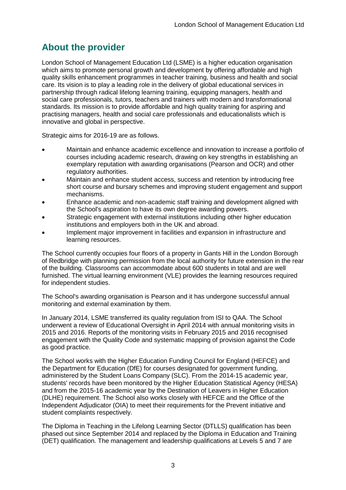## <span id="page-3-0"></span>**About the provider**

London School of Management Education Ltd (LSME) is a higher education organisation which aims to promote personal growth and development by offering affordable and high quality skills enhancement programmes in teacher training, business and health and social care. Its vision is to play a leading role in the delivery of global educational services in partnership through radical lifelong learning training, equipping managers, health and social care professionals, tutors, teachers and trainers with modern and transformational standards. Its mission is to provide affordable and high quality training for aspiring and practising managers, health and social care professionals and educationalists which is innovative and global in perspective.

Strategic aims for 2016-19 are as follows.

- Maintain and enhance academic excellence and innovation to increase a portfolio of courses including academic research, drawing on key strengths in establishing an exemplary reputation with awarding organisations (Pearson and OCR) and other regulatory authorities.
- Maintain and enhance student access, success and retention by introducing free short course and bursary schemes and improving student engagement and support mechanisms.
- Enhance academic and non-academic staff training and development aligned with the School's aspiration to have its own degree awarding powers.
- Strategic engagement with external institutions including other higher education institutions and employers both in the UK and abroad.
- Implement major improvement in facilities and expansion in infrastructure and learning resources.

The School currently occupies four floors of a property in Gants Hill in the London Borough of Redbridge with planning permission from the local authority for future extension in the rear of the building. Classrooms can accommodate about 600 students in total and are well furnished. The virtual learning environment (VLE) provides the learning resources required for independent studies.

The School's awarding organisation is Pearson and it has undergone successful annual monitoring and external examination by them.

In January 2014, LSME transferred its quality regulation from ISI to QAA. The School underwent a review of Educational Oversight in April 2014 with annual monitoring visits in 2015 and 2016. Reports of the monitoring visits in February 2015 and 2016 recognised engagement with the Quality Code and systematic mapping of provision against the Code as good practice.

The School works with the Higher Education Funding Council for England (HEFCE) and the Department for Education (DfE) for courses designated for government funding, administered by the Student Loans Company (SLC). From the 2014-15 academic year, students' records have been monitored by the Higher Education Statistical Agency (HESA) and from the 2015-16 academic year by the Destination of Leavers in Higher Education (DLHE) requirement. The School also works closely with HEFCE and the Office of the Independent Adjudicator (OIA) to meet their requirements for the Prevent initiative and student complaints respectively.

The Diploma in Teaching in the Lifelong Learning Sector (DTLLS) qualification has been phased out since September 2014 and replaced by the Diploma in Education and Training (DET) qualification. The management and leadership qualifications at Levels 5 and 7 are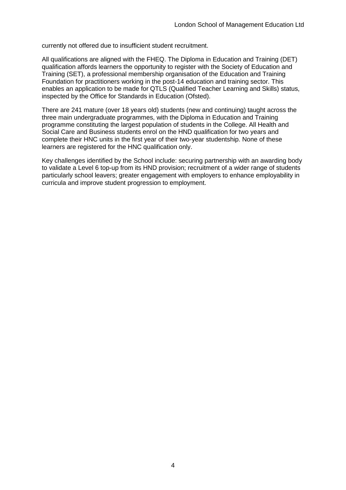currently not offered due to insufficient student recruitment.

All qualifications are aligned with the FHEQ. The Diploma in Education and Training (DET) qualification affords learners the opportunity to register with the Society of Education and Training (SET), a professional membership organisation of the Education and Training Foundation for practitioners working in the post-14 education and training sector. This enables an application to be made for QTLS (Qualified Teacher Learning and Skills) status, inspected by the Office for Standards in Education (Ofsted).

There are 241 mature (over 18 years old) students (new and continuing) taught across the three main undergraduate programmes, with the Diploma in Education and Training programme constituting the largest population of students in the College. All Health and Social Care and Business students enrol on the HND qualification for two years and complete their HNC units in the first year of their two-year studentship. None of these learners are registered for the HNC qualification only.

Key challenges identified by the School include: securing partnership with an awarding body to validate a Level 6 top-up from its HND provision; recruitment of a wider range of students particularly school leavers; greater engagement with employers to enhance employability in curricula and improve student progression to employment.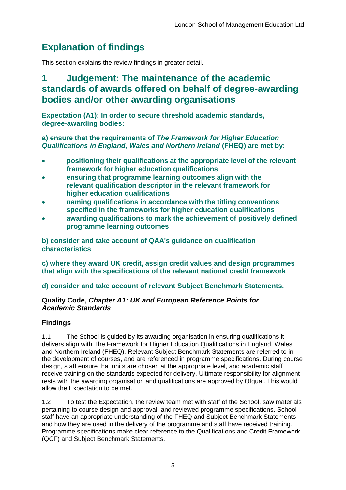## <span id="page-5-0"></span>**Explanation of findings**

This section explains the review findings in greater detail.

## <span id="page-5-1"></span>**1 Judgement: The maintenance of the academic standards of awards offered on behalf of degree-awarding bodies and/or other awarding organisations**

**Expectation (A1): In order to secure threshold academic standards, degree-awarding bodies:**

**a) ensure that the requirements of** *The Framework for Higher Education Qualifications in England, Wales and Northern Ireland* **(FHEQ) are met by:**

- **positioning their qualifications at the appropriate level of the relevant framework for higher education qualifications**
- **ensuring that programme learning outcomes align with the relevant qualification descriptor in the relevant framework for higher education qualifications**
- **naming qualifications in accordance with the titling conventions specified in the frameworks for higher education qualifications**
- **awarding qualifications to mark the achievement of positively defined programme learning outcomes**

**b) consider and take account of QAA's guidance on qualification characteristics** 

**c) where they award UK credit, assign credit values and design programmes that align with the specifications of the relevant national credit framework** 

**d) consider and take account of relevant Subject Benchmark Statements.**

## **Quality Code,** *Chapter A1: UK and European Reference Points for Academic Standards*

## **Findings**

1.1 The School is guided by its awarding organisation in ensuring qualifications it delivers align with The Framework for Higher Education Qualifications in England, Wales and Northern Ireland (FHEQ). Relevant Subject Benchmark Statements are referred to in the development of courses, and are referenced in programme specifications. During course design, staff ensure that units are chosen at the appropriate level, and academic staff receive training on the standards expected for delivery. Ultimate responsibility for alignment rests with the awarding organisation and qualifications are approved by Ofqual. This would allow the Expectation to be met.

1.2 To test the Expectation, the review team met with staff of the School, saw materials pertaining to course design and approval, and reviewed programme specifications. School staff have an appropriate understanding of the FHEQ and Subject Benchmark Statements and how they are used in the delivery of the programme and staff have received training. Programme specifications make clear reference to the Qualifications and Credit Framework (QCF) and Subject Benchmark Statements.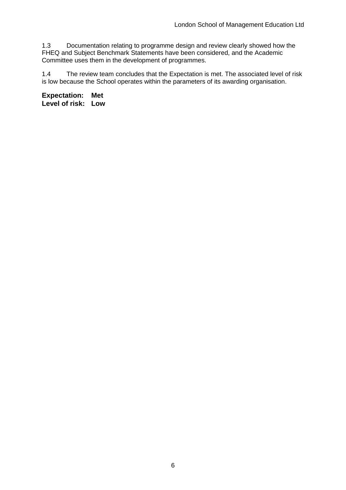1.3 Documentation relating to programme design and review clearly showed how the FHEQ and Subject Benchmark Statements have been considered, and the Academic Committee uses them in the development of programmes.

1.4 The review team concludes that the Expectation is met. The associated level of risk is low because the School operates within the parameters of its awarding organisation.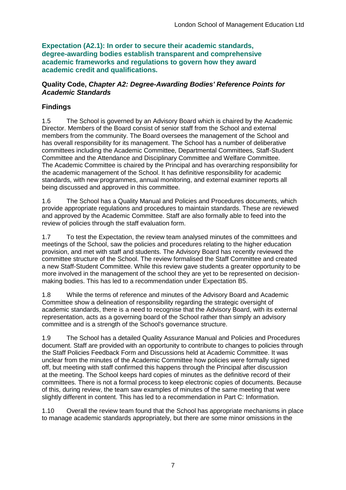**Expectation (A2.1): In order to secure their academic standards, degree-awarding bodies establish transparent and comprehensive academic frameworks and regulations to govern how they award academic credit and qualifications.**

#### **Quality Code,** *Chapter A2: Degree-Awarding Bodies' Reference Points for Academic Standards*

## **Findings**

1.5 The School is governed by an Advisory Board which is chaired by the Academic Director. Members of the Board consist of senior staff from the School and external members from the community. The Board oversees the management of the School and has overall responsibility for its management. The School has a number of deliberative committees including the Academic Committee, Departmental Committees, Staff-Student Committee and the Attendance and Disciplinary Committee and Welfare Committee. The Academic Committee is chaired by the Principal and has overarching responsibility for the academic management of the School. It has definitive responsibility for academic standards, with new programmes, annual monitoring, and external examiner reports all being discussed and approved in this committee.

1.6 The School has a Quality Manual and Policies and Procedures documents, which provide appropriate regulations and procedures to maintain standards. These are reviewed and approved by the Academic Committee. Staff are also formally able to feed into the review of policies through the staff evaluation form.

1.7 To test the Expectation, the review team analysed minutes of the committees and meetings of the School, saw the policies and procedures relating to the higher education provision, and met with staff and students. The Advisory Board has recently reviewed the committee structure of the School. The review formalised the Staff Committee and created a new Staff-Student Committee. While this review gave students a greater opportunity to be more involved in the management of the school they are yet to be represented on decisionmaking bodies. This has led to a recommendation under Expectation B5.

1.8 While the terms of reference and minutes of the Advisory Board and Academic Committee show a delineation of responsibility regarding the strategic oversight of academic standards, there is a need to recognise that the Advisory Board, with its external representation, acts as a governing board of the School rather than simply an advisory committee and is a strength of the School's governance structure.

1.9 The School has a detailed Quality Assurance Manual and Policies and Procedures document. Staff are provided with an opportunity to contribute to changes to policies through the Staff Policies Feedback Form and Discussions held at Academic Committee. It was unclear from the minutes of the Academic Committee how policies were formally signed off, but meeting with staff confirmed this happens through the Principal after discussion at the meeting. The School keeps hard copies of minutes as the definitive record of their committees. There is not a formal process to keep electronic copies of documents. Because of this, during review, the team saw examples of minutes of the same meeting that were slightly different in content. This has led to a recommendation in Part C: Information.

1.10 Overall the review team found that the School has appropriate mechanisms in place to manage academic standards appropriately, but there are some minor omissions in the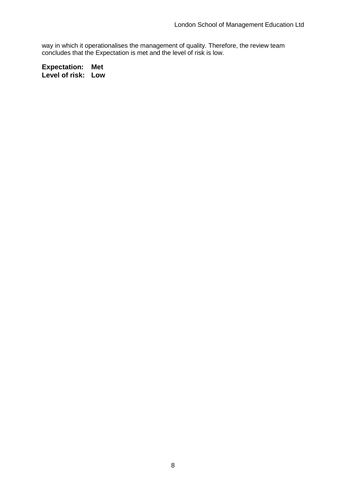way in which it operationalises the management of quality. Therefore, the review team concludes that the Expectation is met and the level of risk is low.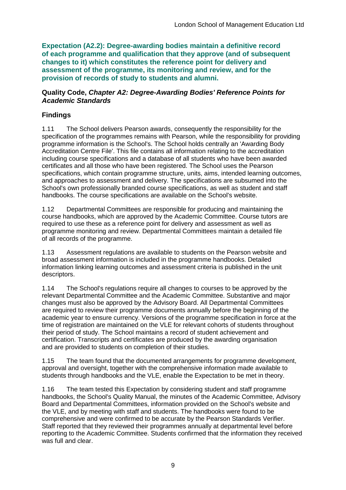**Expectation (A2.2): Degree-awarding bodies maintain a definitive record of each programme and qualification that they approve (and of subsequent changes to it) which constitutes the reference point for delivery and assessment of the programme, its monitoring and review, and for the provision of records of study to students and alumni.** 

#### **Quality Code,** *Chapter A2: Degree-Awarding Bodies' Reference Points for Academic Standards*

## **Findings**

1.11 The School delivers Pearson awards, consequently the responsibility for the specification of the programmes remains with Pearson, while the responsibility for providing programme information is the School's. The School holds centrally an 'Awarding Body Accreditation Centre File'. This file contains all information relating to the accreditation including course specifications and a database of all students who have been awarded certificates and all those who have been registered. The School uses the Pearson specifications, which contain programme structure, units, aims, intended learning outcomes, and approaches to assessment and delivery. The specifications are subsumed into the School's own professionally branded course specifications, as well as student and staff handbooks. The course specifications are available on the School's website.

1.12 Departmental Committees are responsible for producing and maintaining the course handbooks, which are approved by the Academic Committee. Course tutors are required to use these as a reference point for delivery and assessment as well as programme monitoring and review. Departmental Committees maintain a detailed file of all records of the programme.

1.13 Assessment regulations are available to students on the Pearson website and broad assessment information is included in the programme handbooks. Detailed information linking learning outcomes and assessment criteria is published in the unit descriptors.

1.14 The School's regulations require all changes to courses to be approved by the relevant Departmental Committee and the Academic Committee. Substantive and major changes must also be approved by the Advisory Board. All Departmental Committees are required to review their programme documents annually before the beginning of the academic year to ensure currency. Versions of the programme specification in force at the time of registration are maintained on the VLE for relevant cohorts of students throughout their period of study. The School maintains a record of student achievement and certification. Transcripts and certificates are produced by the awarding organisation and are provided to students on completion of their studies.

1.15 The team found that the documented arrangements for programme development, approval and oversight, together with the comprehensive information made available to students through handbooks and the VLE, enable the Expectation to be met in theory.

1.16 The team tested this Expectation by considering student and staff programme handbooks, the School's Quality Manual, the minutes of the Academic Committee, Advisory Board and Departmental Committees, information provided on the School's website and the VLE, and by meeting with staff and students. The handbooks were found to be comprehensive and were confirmed to be accurate by the Pearson Standards Verifier. Staff reported that they reviewed their programmes annually at departmental level before reporting to the Academic Committee. Students confirmed that the information they received was full and clear.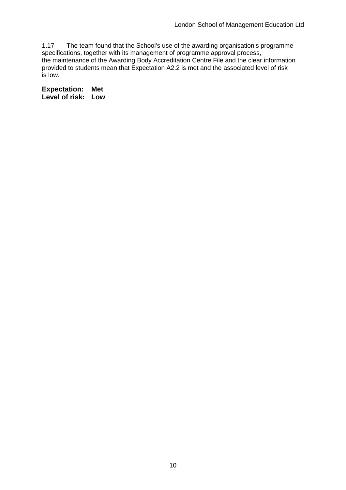1.17 The team found that the School's use of the awarding organisation's programme specifications, together with its management of programme approval process, the maintenance of the Awarding Body Accreditation Centre File and the clear information provided to students mean that Expectation A2.2 is met and the associated level of risk is low.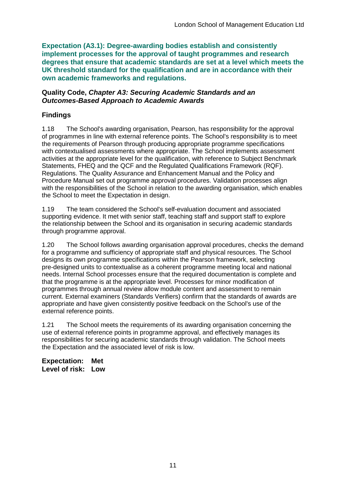**Expectation (A3.1): Degree-awarding bodies establish and consistently implement processes for the approval of taught programmes and research degrees that ensure that academic standards are set at a level which meets the UK threshold standard for the qualification and are in accordance with their own academic frameworks and regulations.**

#### **Quality Code,** *Chapter A3: Securing Academic Standards and an Outcomes-Based Approach to Academic Awards*

## **Findings**

1.18 The School's awarding organisation, Pearson, has responsibility for the approval of programmes in line with external reference points. The School's responsibility is to meet the requirements of Pearson through producing appropriate programme specifications with contextualised assessments where appropriate. The School implements assessment activities at the appropriate level for the qualification, with reference to Subject Benchmark Statements, FHEQ and the QCF and the Regulated Qualifications Framework (RQF). Regulations. The Quality Assurance and Enhancement Manual and the Policy and Procedure Manual set out programme approval procedures. Validation processes align with the responsibilities of the School in relation to the awarding organisation, which enables the School to meet the Expectation in design.

1.19 The team considered the School's self-evaluation document and associated supporting evidence. It met with senior staff, teaching staff and support staff to explore the relationship between the School and its organisation in securing academic standards through programme approval.

1.20 The School follows awarding organisation approval procedures, checks the demand for a programme and sufficiency of appropriate staff and physical resources. The School designs its own programme specifications within the Pearson framework, selecting pre-designed units to contextualise as a coherent programme meeting local and national needs. Internal School processes ensure that the required documentation is complete and that the programme is at the appropriate level. Processes for minor modification of programmes through annual review allow module content and assessment to remain current. External examiners (Standards Verifiers) confirm that the standards of awards are appropriate and have given consistently positive feedback on the School's use of the external reference points.

1.21 The School meets the requirements of its awarding organisation concerning the use of external reference points in programme approval, and effectively manages its responsibilities for securing academic standards through validation. The School meets the Expectation and the associated level of risk is low.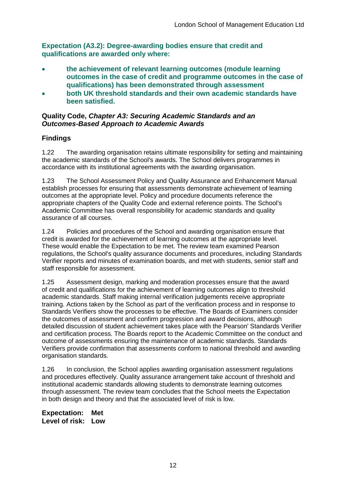**Expectation (A3.2): Degree-awarding bodies ensure that credit and qualifications are awarded only where:**

- **the achievement of relevant learning outcomes (module learning outcomes in the case of credit and programme outcomes in the case of qualifications) has been demonstrated through assessment**
- **both UK threshold standards and their own academic standards have been satisfied.**

### **Quality Code,** *Chapter A3: Securing Academic Standards and an Outcomes-Based Approach to Academic Awards*

## **Findings**

1.22 The awarding organisation retains ultimate responsibility for setting and maintaining the academic standards of the School's awards. The School delivers programmes in accordance with its institutional agreements with the awarding organisation.

1.23 The School Assessment Policy and Quality Assurance and Enhancement Manual establish processes for ensuring that assessments demonstrate achievement of learning outcomes at the appropriate level. Policy and procedure documents reference the appropriate chapters of the Quality Code and external reference points. The School's Academic Committee has overall responsibility for academic standards and quality assurance of all courses.

1.24 Policies and procedures of the School and awarding organisation ensure that credit is awarded for the achievement of learning outcomes at the appropriate level. These would enable the Expectation to be met. The review team examined Pearson regulations, the School's quality assurance documents and procedures, including Standards Verifier reports and minutes of examination boards, and met with students, senior staff and staff responsible for assessment.

1.25 Assessment design, marking and moderation processes ensure that the award of credit and qualifications for the achievement of learning outcomes align to threshold academic standards. Staff making internal verification judgements receive appropriate training. Actions taken by the School as part of the verification process and in response to Standards Verifiers show the processes to be effective. The Boards of Examiners consider the outcomes of assessment and confirm progression and award decisions, although detailed discussion of student achievement takes place with the Pearson' Standards Verifier and certification process. The Boards report to the Academic Committee on the conduct and outcome of assessments ensuring the maintenance of academic standards. Standards Verifiers provide confirmation that assessments conform to national threshold and awarding organisation standards.

1.26 In conclusion, the School applies awarding organisation assessment regulations and procedures effectively. Quality assurance arrangement take account of threshold and institutional academic standards allowing students to demonstrate learning outcomes through assessment. The review team concludes that the School meets the Expectation in both design and theory and that the associated level of risk is low.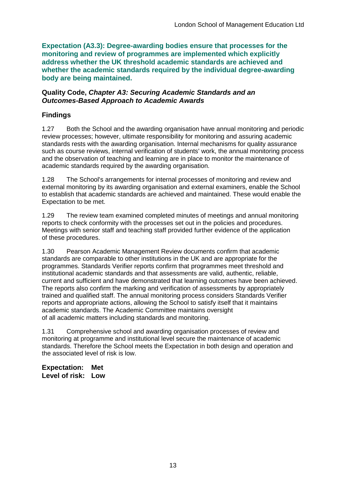**Expectation (A3.3): Degree-awarding bodies ensure that processes for the monitoring and review of programmes are implemented which explicitly address whether the UK threshold academic standards are achieved and whether the academic standards required by the individual degree-awarding body are being maintained.**

#### **Quality Code,** *Chapter A3: Securing Academic Standards and an Outcomes-Based Approach to Academic Awards*

## **Findings**

1.27 Both the School and the awarding organisation have annual monitoring and periodic review processes; however, ultimate responsibility for monitoring and assuring academic standards rests with the awarding organisation. Internal mechanisms for quality assurance such as course reviews, internal verification of students' work, the annual monitoring process and the observation of teaching and learning are in place to monitor the maintenance of academic standards required by the awarding organisation.

1.28 The School's arrangements for internal processes of monitoring and review and external monitoring by its awarding organisation and external examiners, enable the School to establish that academic standards are achieved and maintained. These would enable the Expectation to be met.

1.29 The review team examined completed minutes of meetings and annual monitoring reports to check conformity with the processes set out in the policies and procedures. Meetings with senior staff and teaching staff provided further evidence of the application of these procedures.

1.30 Pearson Academic Management Review documents confirm that academic standards are comparable to other institutions in the UK and are appropriate for the programmes. Standards Verifier reports confirm that programmes meet threshold and institutional academic standards and that assessments are valid, authentic, reliable, current and sufficient and have demonstrated that learning outcomes have been achieved. The reports also confirm the marking and verification of assessments by appropriately trained and qualified staff. The annual monitoring process considers Standards Verifier reports and appropriate actions, allowing the School to satisfy itself that it maintains academic standards. The Academic Committee maintains oversight of all academic matters including standards and monitoring.

1.31 Comprehensive school and awarding organisation processes of review and monitoring at programme and institutional level secure the maintenance of academic standards. Therefore the School meets the Expectation in both design and operation and the associated level of risk is low.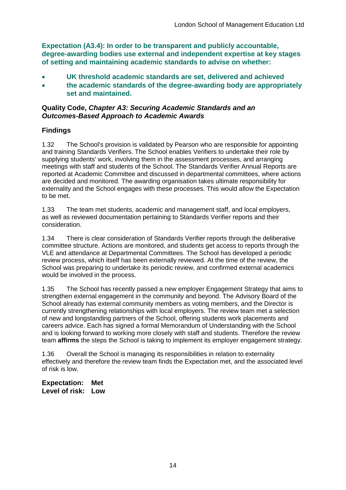**Expectation (A3.4): In order to be transparent and publicly accountable, degree-awarding bodies use external and independent expertise at key stages of setting and maintaining academic standards to advise on whether:**

- **UK threshold academic standards are set, delivered and achieved**
- **the academic standards of the degree-awarding body are appropriately set and maintained.**

#### **Quality Code,** *Chapter A3: Securing Academic Standards and an Outcomes-Based Approach to Academic Awards*

### **Findings**

1.32 The School's provision is validated by Pearson who are responsible for appointing and training Standards Verifiers. The School enables Verifiers to undertake their role by supplying students' work, involving them in the assessment processes, and arranging meetings with staff and students of the School. The Standards Verifier Annual Reports are reported at Academic Committee and discussed in departmental committees, where actions are decided and monitored. The awarding organisation takes ultimate responsibility for externality and the School engages with these processes. This would allow the Expectation to be met.

1.33 The team met students, academic and management staff, and local employers, as well as reviewed documentation pertaining to Standards Verifier reports and their consideration.

1.34 There is clear consideration of Standards Verifier reports through the deliberative committee structure. Actions are monitored, and students get access to reports through the VLE and attendance at Departmental Committees. The School has developed a periodic review process, which itself has been externally reviewed. At the time of the review, the School was preparing to undertake its periodic review, and confirmed external academics would be involved in the process.

1.35 The School has recently passed a new employer Engagement Strategy that aims to strengthen external engagement in the community and beyond. The Advisory Board of the School already has external community members as voting members, and the Director is currently strengthening relationships with local employers. The review team met a selection of new and longstanding partners of the School, offering students work placements and careers advice. Each has signed a formal Memorandum of Understanding with the School and is looking forward to working more closely with staff and students. Therefore the review team **affirms** the steps the School is taking to implement its employer engagement strategy.

1.36 Overall the School is managing its responsibilities in relation to externality effectively and therefore the review team finds the Expectation met, and the associated level of risk is low.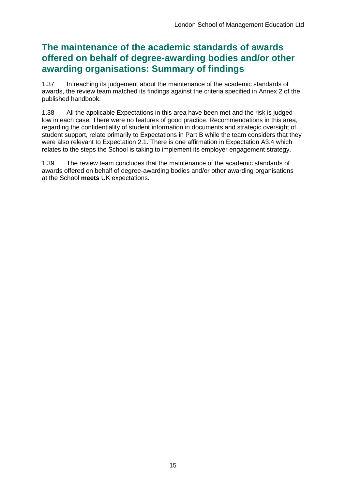## **The maintenance of the academic standards of awards offered on behalf of degree-awarding bodies and/or other awarding organisations: Summary of findings**

1.37 In reaching its judgement about the maintenance of the academic standards of awards, the review team matched its findings against the criteria specified in Annex 2 of the published handbook.

1.38 All the applicable Expectations in this area have been met and the risk is judged low in each case. There were no features of good practice. Recommendations in this area, regarding the confidentiality of student information in documents and strategic oversight of student support, relate primarily to Expectations in Part B while the team considers that they were also relevant to Expectation 2.1. There is one affirmation in Expectation A3.4 which relates to the steps the School is taking to implement its employer engagement strategy.

1.39 The review team concludes that the maintenance of the academic standards of awards offered on behalf of degree-awarding bodies and/or other awarding organisations at the School **meets** UK expectations.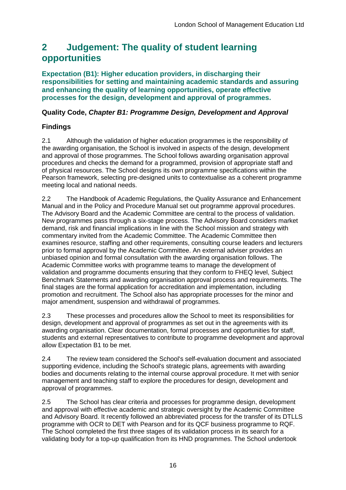## <span id="page-16-0"></span>**2 Judgement: The quality of student learning opportunities**

**Expectation (B1): Higher education providers, in discharging their responsibilities for setting and maintaining academic standards and assuring and enhancing the quality of learning opportunities, operate effective processes for the design, development and approval of programmes.**

### **Quality Code,** *Chapter B1: Programme Design, Development and Approval*

### **Findings**

2.1 Although the validation of higher education programmes is the responsibility of the awarding organisation, the School is involved in aspects of the design, development and approval of those programmes. The School follows awarding organisation approval procedures and checks the demand for a programmed, provision of appropriate staff and of physical resources. The School designs its own programme specifications within the Pearson framework, selecting pre-designed units to contextualise as a coherent programme meeting local and national needs.

2.2 The Handbook of Academic Regulations, the Quality Assurance and Enhancement Manual and in the Policy and Procedure Manual set out programme approval procedures. The Advisory Board and the Academic Committee are central to the process of validation. New programmes pass through a six-stage process. The Advisory Board considers market demand, risk and financial implications in line with the School mission and strategy with commentary invited from the Academic Committee. The Academic Committee then examines resource, staffing and other requirements, consulting course leaders and lecturers prior to formal approval by the Academic Committee. An external adviser provides an unbiased opinion and formal consultation with the awarding organisation follows. The Academic Committee works with programme teams to manage the development of validation and programme documents ensuring that they conform to FHEQ level, Subject Benchmark Statements and awarding organisation approval process and requirements. The final stages are the formal application for accreditation and implementation, including promotion and recruitment. The School also has appropriate processes for the minor and major amendment, suspension and withdrawal of programmes.

2.3 These processes and procedures allow the School to meet its responsibilities for design, development and approval of programmes as set out in the agreements with its awarding organisation. Clear documentation, formal processes and opportunities for staff, students and external representatives to contribute to programme development and approval allow Expectation B1 to be met.

2.4 The review team considered the School's self-evaluation document and associated supporting evidence, including the School's strategic plans, agreements with awarding bodies and documents relating to the internal course approval procedure. It met with senior management and teaching staff to explore the procedures for design, development and approval of programmes.

2.5 The School has clear criteria and processes for programme design, development and approval with effective academic and strategic oversight by the Academic Committee and Advisory Board. It recently followed an abbreviated process for the transfer of its DTLLS programme with OCR to DET with Pearson and for its QCF business programme to RQF. The School completed the first three stages of its validation process in its search for a validating body for a top-up qualification from its HND programmes. The School undertook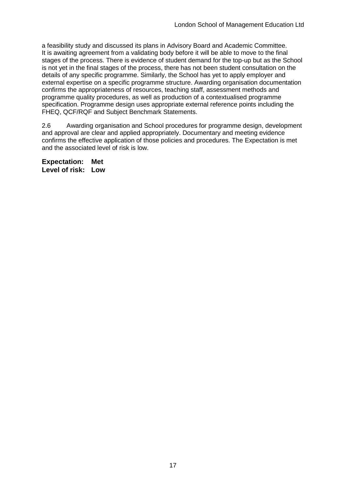a feasibility study and discussed its plans in Advisory Board and Academic Committee. It is awaiting agreement from a validating body before it will be able to move to the final stages of the process. There is evidence of student demand for the top-up but as the School is not yet in the final stages of the process, there has not been student consultation on the details of any specific programme. Similarly, the School has yet to apply employer and external expertise on a specific programme structure. Awarding organisation documentation confirms the appropriateness of resources, teaching staff, assessment methods and programme quality procedures, as well as production of a contextualised programme specification. Programme design uses appropriate external reference points including the FHEQ, QCF/RQF and Subject Benchmark Statements.

2.6 Awarding organisation and School procedures for programme design, development and approval are clear and applied appropriately. Documentary and meeting evidence confirms the effective application of those policies and procedures. The Expectation is met and the associated level of risk is low.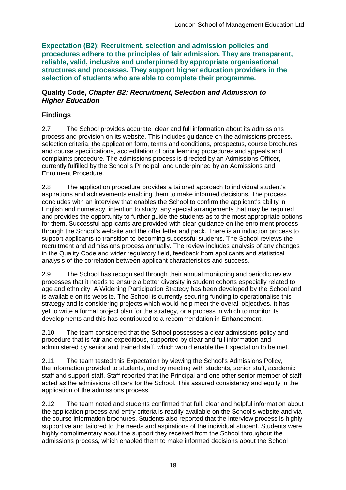**Expectation (B2): Recruitment, selection and admission policies and procedures adhere to the principles of fair admission. They are transparent, reliable, valid, inclusive and underpinned by appropriate organisational structures and processes. They support higher education providers in the selection of students who are able to complete their programme.**

#### **Quality Code,** *Chapter B2: Recruitment, Selection and Admission to Higher Education*

## **Findings**

2.7 The School provides accurate, clear and full information about its admissions process and provision on its website. This includes guidance on the admissions process, selection criteria, the application form, terms and conditions, prospectus, course brochures and course specifications, accreditation of prior learning procedures and appeals and complaints procedure. The admissions process is directed by an Admissions Officer, currently fulfilled by the School's Principal, and underpinned by an Admissions and Enrolment Procedure.

2.8 The application procedure provides a tailored approach to individual student's aspirations and achievements enabling them to make informed decisions. The process concludes with an interview that enables the School to confirm the applicant's ability in English and numeracy, intention to study, any special arrangements that may be required and provides the opportunity to further guide the students as to the most appropriate options for them. Successful applicants are provided with clear guidance on the enrolment process through the School's website and the offer letter and pack. There is an induction process to support applicants to transition to becoming successful students. The School reviews the recruitment and admissions process annually. The review includes analysis of any changes in the Quality Code and wider regulatory field, feedback from applicants and statistical analysis of the correlation between applicant characteristics and success.

2.9 The School has recognised through their annual monitoring and periodic review processes that it needs to ensure a better diversity in student cohorts especially related to age and ethnicity. A Widening Participation Strategy has been developed by the School and is available on its website. The School is currently securing funding to operationalise this strategy and is considering projects which would help meet the overall objectives. It has yet to write a formal project plan for the strategy, or a process in which to monitor its developments and this has contributed to a recommendation in Enhancement.

2.10 The team considered that the School possesses a clear admissions policy and procedure that is fair and expeditious, supported by clear and full information and administered by senior and trained staff, which would enable the Expectation to be met.

2.11 The team tested this Expectation by viewing the School's Admissions Policy, the information provided to students, and by meeting with students, senior staff, academic staff and support staff. Staff reported that the Principal and one other senior member of staff acted as the admissions officers for the School. This assured consistency and equity in the application of the admissions process.

2.12 The team noted and students confirmed that full, clear and helpful information about the application process and entry criteria is readily available on the School's website and via the course information brochures. Students also reported that the interview process is highly supportive and tailored to the needs and aspirations of the individual student. Students were highly complimentary about the support they received from the School throughout the admissions process, which enabled them to make informed decisions about the School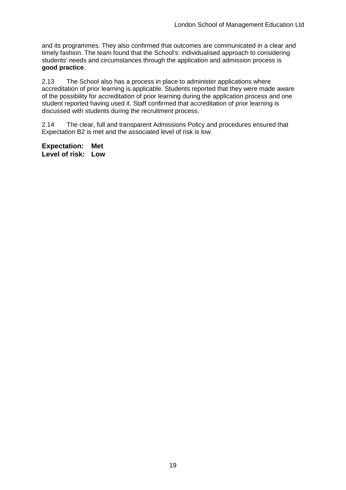and its programmes. They also confirmed that outcomes are communicated in a clear and timely fashion. The team found that the School's: individualised approach to considering students' needs and circumstances through the application and admission process is **good practice**.

2.13 The School also has a process in place to administer applications where accreditation of prior learning is applicable. Students reported that they were made aware of the possibility for accreditation of prior learning during the application process and one student reported having used it. Staff confirmed that accreditation of prior learning is discussed with students during the recruitment process.

2.14 The clear, full and transparent Admissions Policy and procedures ensured that Expectation B2 is met and the associated level of risk is low.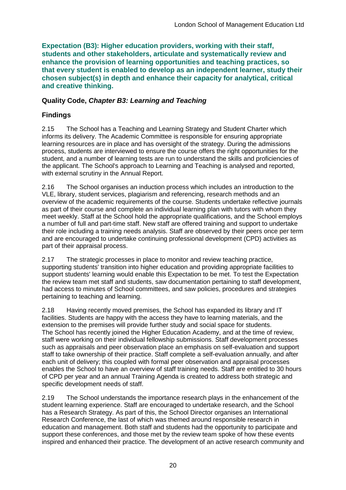**Expectation (B3): Higher education providers, working with their staff, students and other stakeholders, articulate and systematically review and enhance the provision of learning opportunities and teaching practices, so that every student is enabled to develop as an independent learner, study their chosen subject(s) in depth and enhance their capacity for analytical, critical and creative thinking.**

### **Quality Code,** *Chapter B3: Learning and Teaching*

### **Findings**

2.15 The School has a Teaching and Learning Strategy and Student Charter which informs its delivery. The Academic Committee is responsible for ensuring appropriate learning resources are in place and has oversight of the strategy. During the admissions process, students are interviewed to ensure the course offers the right opportunities for the student, and a number of learning tests are run to understand the skills and proficiencies of the applicant. The School's approach to Learning and Teaching is analysed and reported, with external scrutiny in the Annual Report.

2.16 The School organises an induction process which includes an introduction to the VLE, library, student services, plagiarism and referencing, research methods and an overview of the academic requirements of the course. Students undertake reflective journals as part of their course and complete an individual learning plan with tutors with whom they meet weekly. Staff at the School hold the appropriate qualifications, and the School employs a number of full and part-time staff. New staff are offered training and support to undertake their role including a training needs analysis. Staff are observed by their peers once per term and are encouraged to undertake continuing professional development (CPD) activities as part of their appraisal process.

2.17 The strategic processes in place to monitor and review teaching practice, supporting students' transition into higher education and providing appropriate facilities to support students' learning would enable this Expectation to be met. To test the Expectation the review team met staff and students, saw documentation pertaining to staff development, had access to minutes of School committees, and saw policies, procedures and strategies pertaining to teaching and learning.

2.18 Having recently moved premises, the School has expanded its library and IT facilities. Students are happy with the access they have to learning materials, and the extension to the premises will provide further study and social space for students. The School has recently joined the Higher Education Academy, and at the time of review, staff were working on their individual fellowship submissions. Staff development processes such as appraisals and peer observation place an emphasis on self-evaluation and support staff to take ownership of their practice. Staff complete a self-evaluation annually, and after each unit of delivery; this coupled with formal peer observation and appraisal processes enables the School to have an overview of staff training needs. Staff are entitled to 30 hours of CPD per year and an annual Training Agenda is created to address both strategic and specific development needs of staff.

2.19 The School understands the importance research plays in the enhancement of the student learning experience. Staff are encouraged to undertake research, and the School has a Research Strategy. As part of this, the School Director organises an International Research Conference, the last of which was themed around responsible research in education and management. Both staff and students had the opportunity to participate and support these conferences, and those met by the review team spoke of how these events inspired and enhanced their practice. The development of an active research community and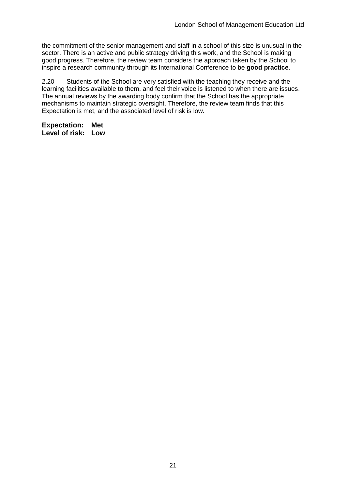the commitment of the senior management and staff in a school of this size is unusual in the sector. There is an active and public strategy driving this work, and the School is making good progress. Therefore, the review team considers the approach taken by the School to inspire a research community through its International Conference to be **good practice**.

2.20 Students of the School are very satisfied with the teaching they receive and the learning facilities available to them, and feel their voice is listened to when there are issues. The annual reviews by the awarding body confirm that the School has the appropriate mechanisms to maintain strategic oversight. Therefore, the review team finds that this Expectation is met, and the associated level of risk is low.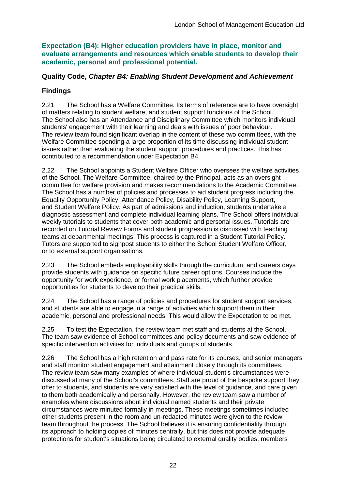**Expectation (B4): Higher education providers have in place, monitor and evaluate arrangements and resources which enable students to develop their academic, personal and professional potential.**

### **Quality Code,** *Chapter B4: Enabling Student Development and Achievement*

## **Findings**

2.21 The School has a Welfare Committee. Its terms of reference are to have oversight of matters relating to student welfare, and student support functions of the School. The School also has an Attendance and Disciplinary Committee which monitors individual students' engagement with their learning and deals with issues of poor behaviour. The review team found significant overlap in the content of these two committees, with the Welfare Committee spending a large proportion of its time discussing individual student issues rather than evaluating the student support procedures and practices. This has contributed to a recommendation under Expectation B4.

2.22 The School appoints a Student Welfare Officer who oversees the welfare activities of the School. The Welfare Committee, chaired by the Principal, acts as an oversight committee for welfare provision and makes recommendations to the Academic Committee. The School has a number of policies and processes to aid student progress including the Equality Opportunity Policy, Attendance Policy, Disability Policy, Learning Support, and Student Welfare Policy. As part of admissions and induction, students undertake a diagnostic assessment and complete individual learning plans. The School offers individual weekly tutorials to students that cover both academic and personal issues. Tutorials are recorded on Tutorial Review Forms and student progression is discussed with teaching teams at departmental meetings. This process is captured in a Student Tutorial Policy. Tutors are supported to signpost students to either the School Student Welfare Officer, or to external support organisations.

2.23 The School embeds employability skills through the curriculum, and careers days provide students with guidance on specific future career options. Courses include the opportunity for work experience, or formal work placements, which further provide opportunities for students to develop their practical skills.

2.24 The School has a range of policies and procedures for student support services, and students are able to engage in a range of activities which support them in their academic, personal and professional needs. This would allow the Expectation to be met.

2.25 To test the Expectation, the review team met staff and students at the School. The team saw evidence of School committees and policy documents and saw evidence of specific intervention activities for individuals and groups of students.

2.26 The School has a high retention and pass rate for its courses, and senior managers and staff monitor student engagement and attainment closely through its committees. The review team saw many examples of where individual student's circumstances were discussed at many of the School's committees. Staff are proud of the bespoke support they offer to students, and students are very satisfied with the level of guidance, and care given to them both academically and personally. However, the review team saw a number of examples where discussions about individual named students and their private circumstances were minuted formally in meetings. These meetings sometimes included other students present in the room and un-redacted minutes were given to the review team throughout the process. The School believes it is ensuring confidentiality through its approach to holding copies of minutes centrally, but this does not provide adequate protections for student's situations being circulated to external quality bodies, members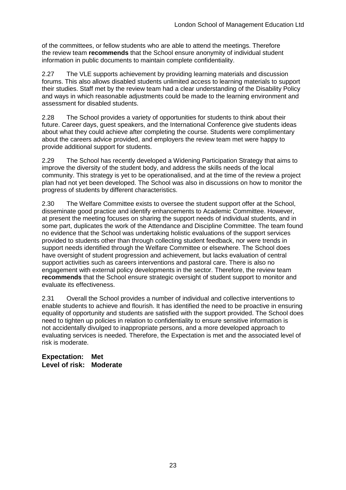of the committees, or fellow students who are able to attend the meetings. Therefore the review team **recommends** that the School ensure anonymity of individual student information in public documents to maintain complete confidentiality.

2.27 The VLE supports achievement by providing learning materials and discussion forums. This also allows disabled students unlimited access to learning materials to support their studies. Staff met by the review team had a clear understanding of the Disability Policy and ways in which reasonable adjustments could be made to the learning environment and assessment for disabled students.

2.28 The School provides a variety of opportunities for students to think about their future. Career days, guest speakers, and the International Conference give students ideas about what they could achieve after completing the course. Students were complimentary about the careers advice provided, and employers the review team met were happy to provide additional support for students.

2.29 The School has recently developed a Widening Participation Strategy that aims to improve the diversity of the student body, and address the skills needs of the local community. This strategy is yet to be operationalised, and at the time of the review a project plan had not yet been developed. The School was also in discussions on how to monitor the progress of students by different characteristics.

2.30 The Welfare Committee exists to oversee the student support offer at the School, disseminate good practice and identify enhancements to Academic Committee. However, at present the meeting focuses on sharing the support needs of individual students, and in some part, duplicates the work of the Attendance and Discipline Committee. The team found no evidence that the School was undertaking holistic evaluations of the support services provided to students other than through collecting student feedback, nor were trends in support needs identified through the Welfare Committee or elsewhere. The School does have oversight of student progression and achievement, but lacks evaluation of central support activities such as careers interventions and pastoral care. There is also no engagement with external policy developments in the sector. Therefore, the review team **recommends** that the School ensure strategic oversight of student support to monitor and evaluate its effectiveness.

2.31 Overall the School provides a number of individual and collective interventions to enable students to achieve and flourish. It has identified the need to be proactive in ensuring equality of opportunity and students are satisfied with the support provided. The School does need to tighten up policies in relation to confidentiality to ensure sensitive information is not accidentally divulged to inappropriate persons, and a more developed approach to evaluating services is needed. Therefore, the Expectation is met and the associated level of risk is moderate.

**Expectation: Met Level of risk: Moderate**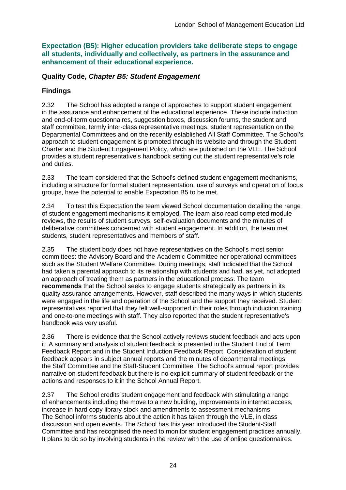**Expectation (B5): Higher education providers take deliberate steps to engage all students, individually and collectively, as partners in the assurance and enhancement of their educational experience.**

### **Quality Code,** *Chapter B5: Student Engagement*

### **Findings**

2.32 The School has adopted a range of approaches to support student engagement in the assurance and enhancement of the educational experience. These include induction and end-of-term questionnaires, suggestion boxes, discussion forums, the student and staff committee, termly inter-class representative meetings, student representation on the Departmental Committees and on the recently established All Staff Committee. The School's approach to student engagement is promoted through its website and through the Student Charter and the Student Engagement Policy, which are published on the VLE. The School provides a student representative's handbook setting out the student representative's role and duties.

2.33 The team considered that the School's defined student engagement mechanisms, including a structure for formal student representation, use of surveys and operation of focus groups, have the potential to enable Expectation B5 to be met.

2.34 To test this Expectation the team viewed School documentation detailing the range of student engagement mechanisms it employed. The team also read completed module reviews, the results of student surveys, self-evaluation documents and the minutes of deliberative committees concerned with student engagement. In addition, the team met students, student representatives and members of staff.

2.35 The student body does not have representatives on the School's most senior committees: the Advisory Board and the Academic Committee nor operational committees such as the Student Welfare Committee. During meetings, staff indicated that the School had taken a parental approach to its relationship with students and had, as yet, not adopted an approach of treating them as partners in the educational process. The team **recommends** that the School seeks to engage students strategically as partners in its quality assurance arrangements. However, staff described the many ways in which students were engaged in the life and operation of the School and the support they received. Student representatives reported that they felt well-supported in their roles through induction training and one-to-one meetings with staff. They also reported that the student representative's handbook was very useful.

2.36 There is evidence that the School actively reviews student feedback and acts upon it. A summary and analysis of student feedback is presented in the Student End of Term Feedback Report and in the Student Induction Feedback Report. Consideration of student feedback appears in subject annual reports and the minutes of departmental meetings, the Staff Committee and the Staff-Student Committee. The School's annual report provides narrative on student feedback but there is no explicit summary of student feedback or the actions and responses to it in the School Annual Report.

2.37 The School credits student engagement and feedback with stimulating a range of enhancements including the move to a new building, improvements in internet access, increase in hard copy library stock and amendments to assessment mechanisms. The School informs students about the action it has taken through the VLE, in class discussion and open events. The School has this year introduced the Student-Staff Committee and has recognised the need to monitor student engagement practices annually. It plans to do so by involving students in the review with the use of online questionnaires.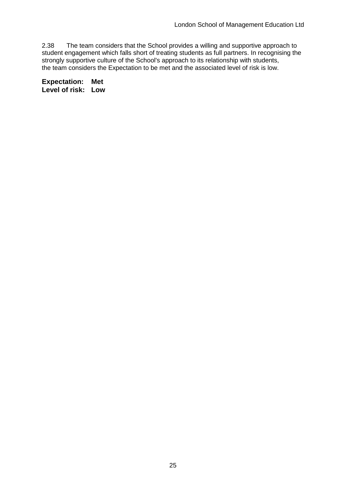2.38 The team considers that the School provides a willing and supportive approach to student engagement which falls short of treating students as full partners. In recognising the strongly supportive culture of the School's approach to its relationship with students, the team considers the Expectation to be met and the associated level of risk is low.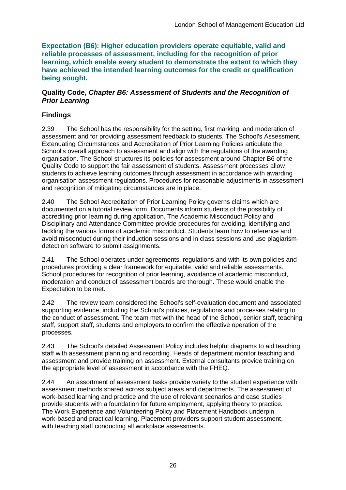**Expectation (B6): Higher education providers operate equitable, valid and reliable processes of assessment, including for the recognition of prior learning, which enable every student to demonstrate the extent to which they have achieved the intended learning outcomes for the credit or qualification being sought.**

#### **Quality Code,** *Chapter B6: Assessment of Students and the Recognition of Prior Learning*

## **Findings**

2.39 The School has the responsibility for the setting, first marking, and moderation of assessment and for providing assessment feedback to students. The School's Assessment, Extenuating Circumstances and Accreditation of Prior Learning Policies articulate the School's overall approach to assessment and align with the regulations of the awarding organisation. The School structures its policies for assessment around Chapter B6 of the Quality Code to support the fair assessment of students. Assessment processes allow students to achieve learning outcomes through assessment in accordance with awarding organisation assessment regulations. Procedures for reasonable adjustments in assessment and recognition of mitigating circumstances are in place.

2.40 The School Accreditation of Prior Learning Policy governs claims which are documented on a tutorial review form. Documents inform students of the possibility of accrediting prior learning during application. The Academic Misconduct Policy and Disciplinary and Attendance Committee provide procedures for avoiding, identifying and tackling the various forms of academic misconduct. Students learn how to reference and avoid misconduct during their induction sessions and in class sessions and use plagiarismdetection software to submit assignments.

2.41 The School operates under agreements, regulations and with its own policies and procedures providing a clear framework for equitable, valid and reliable assessments. School procedures for recognition of prior learning, avoidance of academic misconduct, moderation and conduct of assessment boards are thorough. These would enable the Expectation to be met.

2.42 The review team considered the School's self-evaluation document and associated supporting evidence, including the School's policies, regulations and processes relating to the conduct of assessment. The team met with the head of the School, senior staff, teaching staff, support staff, students and employers to confirm the effective operation of the processes.

2.43 The School's detailed Assessment Policy includes helpful diagrams to aid teaching staff with assessment planning and recording. Heads of department monitor teaching and assessment and provide training on assessment. External consultants provide training on the appropriate level of assessment in accordance with the FHEQ.

2.44 An assortment of assessment tasks provide variety to the student experience with assessment methods shared across subject areas and departments. The assessment of work-based learning and practice and the use of relevant scenarios and case studies provide students with a foundation for future employment, applying theory to practice. The Work Experience and Volunteering Policy and Placement Handbook underpin work-based and practical learning. Placement providers support student assessment, with teaching staff conducting all workplace assessments.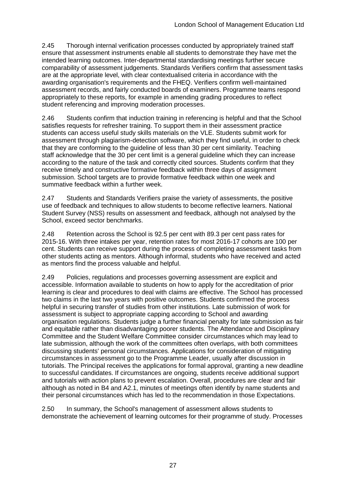2.45 Thorough internal verification processes conducted by appropriately trained staff ensure that assessment instruments enable all students to demonstrate they have met the intended learning outcomes. Inter-departmental standardising meetings further secure comparability of assessment judgements. Standards Verifiers confirm that assessment tasks are at the appropriate level, with clear contextualised criteria in accordance with the awarding organisation's requirements and the FHEQ. Verifiers confirm well-maintained assessment records, and fairly conducted boards of examiners. Programme teams respond appropriately to these reports, for example in amending grading procedures to reflect student referencing and improving moderation processes.

2.46 Students confirm that induction training in referencing is helpful and that the School satisfies requests for refresher training. To support them in their assessment practice students can access useful study skills materials on the VLE. Students submit work for assessment through plagiarism-detection software, which they find useful, in order to check that they are conforming to the guideline of less than 30 per cent similarity. Teaching staff acknowledge that the 30 per cent limit is a general guideline which they can increase according to the nature of the task and correctly cited sources. Students confirm that they receive timely and constructive formative feedback within three days of assignment submission. School targets are to provide formative feedback within one week and summative feedback within a further week.

2.47 Students and Standards Verifiers praise the variety of assessments, the positive use of feedback and techniques to allow students to become reflective learners. National Student Survey (NSS) results on assessment and feedback, although not analysed by the School, exceed sector benchmarks.

2.48 Retention across the School is 92.5 per cent with 89.3 per cent pass rates for 2015-16. With three intakes per year, retention rates for most 2016-17 cohorts are 100 per cent. Students can receive support during the process of completing assessment tasks from other students acting as mentors. Although informal, students who have received and acted as mentors find the process valuable and helpful.

2.49 Policies, regulations and processes governing assessment are explicit and accessible. Information available to students on how to apply for the accreditation of prior learning is clear and procedures to deal with claims are effective. The School has processed two claims in the last two years with positive outcomes. Students confirmed the process helpful in securing transfer of studies from other institutions. Late submission of work for assessment is subject to appropriate capping according to School and awarding organisation regulations. Students judge a further financial penalty for late submission as fair and equitable rather than disadvantaging poorer students. The Attendance and Disciplinary Committee and the Student Welfare Committee consider circumstances which may lead to late submission, although the work of the committees often overlaps, with both committees discussing students' personal circumstances. Applications for consideration of mitigating circumstances in assessment go to the Programme Leader, usually after discussion in tutorials. The Principal receives the applications for formal approval, granting a new deadline to successful candidates. If circumstances are ongoing, students receive additional support and tutorials with action plans to prevent escalation. Overall, procedures are clear and fair although as noted in B4 and A2.1, minutes of meetings often identify by name students and their personal circumstances which has led to the recommendation in those Expectations.

2.50 In summary, the School's management of assessment allows students to demonstrate the achievement of learning outcomes for their programme of study. Processes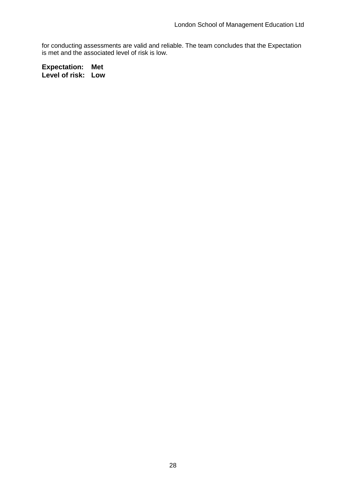for conducting assessments are valid and reliable. The team concludes that the Expectation is met and the associated level of risk is low.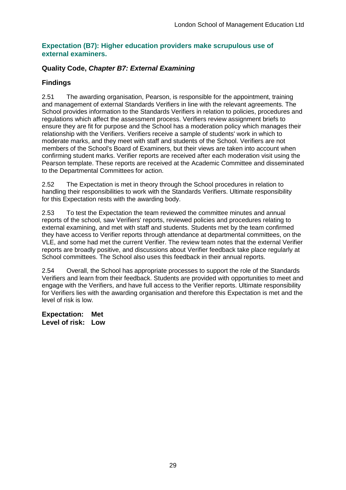### **Expectation (B7): Higher education providers make scrupulous use of external examiners.**

### **Quality Code,** *Chapter B7: External Examining*

## **Findings**

2.51 The awarding organisation, Pearson, is responsible for the appointment, training and management of external Standards Verifiers in line with the relevant agreements. The School provides information to the Standards Verifiers in relation to policies, procedures and regulations which affect the assessment process. Verifiers review assignment briefs to ensure they are fit for purpose and the School has a moderation policy which manages their relationship with the Verifiers. Verifiers receive a sample of students' work in which to moderate marks, and they meet with staff and students of the School. Verifiers are not members of the School's Board of Examiners, but their views are taken into account when confirming student marks. Verifier reports are received after each moderation visit using the Pearson template. These reports are received at the Academic Committee and disseminated to the Departmental Committees for action.

2.52 The Expectation is met in theory through the School procedures in relation to handling their responsibilities to work with the Standards Verifiers. Ultimate responsibility for this Expectation rests with the awarding body.

2.53 To test the Expectation the team reviewed the committee minutes and annual reports of the school, saw Verifiers' reports, reviewed policies and procedures relating to external examining, and met with staff and students. Students met by the team confirmed they have access to Verifier reports through attendance at departmental committees, on the VLE, and some had met the current Verifier. The review team notes that the external Verifier reports are broadly positive, and discussions about Verifier feedback take place regularly at School committees. The School also uses this feedback in their annual reports.

2.54 Overall, the School has appropriate processes to support the role of the Standards Verifiers and learn from their feedback. Students are provided with opportunities to meet and engage with the Verifiers, and have full access to the Verifier reports. Ultimate responsibility for Verifiers lies with the awarding organisation and therefore this Expectation is met and the level of risk is low.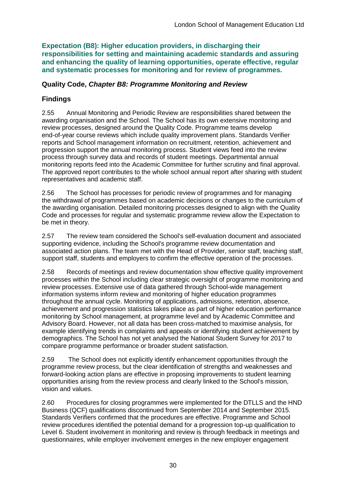**Expectation (B8): Higher education providers, in discharging their responsibilities for setting and maintaining academic standards and assuring and enhancing the quality of learning opportunities, operate effective, regular and systematic processes for monitoring and for review of programmes.**

### **Quality Code,** *Chapter B8: Programme Monitoring and Review*

### **Findings**

2.55 Annual Monitoring and Periodic Review are responsibilities shared between the awarding organisation and the School. The School has its own extensive monitoring and review processes, designed around the Quality Code. Programme teams develop end-of-year course reviews which include quality improvement plans. Standards Verifier reports and School management information on recruitment, retention, achievement and progression support the annual monitoring process. Student views feed into the review process through survey data and records of student meetings. Departmental annual monitoring reports feed into the Academic Committee for further scrutiny and final approval. The approved report contributes to the whole school annual report after sharing with student representatives and academic staff.

2.56 The School has processes for periodic review of programmes and for managing the withdrawal of programmes based on academic decisions or changes to the curriculum of the awarding organisation. Detailed monitoring processes designed to align with the Quality Code and processes for regular and systematic programme review allow the Expectation to be met in theory.

2.57 The review team considered the School's self-evaluation document and associated supporting evidence, including the School's programme review documentation and associated action plans. The team met with the Head of Provider, senior staff, teaching staff, support staff, students and employers to confirm the effective operation of the processes.

2.58 Records of meetings and review documentation show effective quality improvement processes within the School including clear strategic oversight of programme monitoring and review processes. Extensive use of data gathered through School-wide management information systems inform review and monitoring of higher education programmes throughout the annual cycle. Monitoring of applications, admissions, retention, absence, achievement and progression statistics takes place as part of higher education performance monitoring by School management, at programme level and by Academic Committee and Advisory Board. However, not all data has been cross-matched to maximise analysis, for example identifying trends in complaints and appeals or identifying student achievement by demographics. The School has not yet analysed the National Student Survey for 2017 to compare programme performance or broader student satisfaction.

2.59 The School does not explicitly identify enhancement opportunities through the programme review process, but the clear identification of strengths and weaknesses and forward-looking action plans are effective in proposing improvements to student learning opportunities arising from the review process and clearly linked to the School's mission, vision and values.

2.60 Procedures for closing programmes were implemented for the DTLLS and the HND Business (QCF) qualifications discontinued from September 2014 and September 2015. Standards Verifiers confirmed that the procedures are effective. Programme and School review procedures identified the potential demand for a progression top-up qualification to Level 6. Student involvement in monitoring and review is through feedback in meetings and questionnaires, while employer involvement emerges in the new employer engagement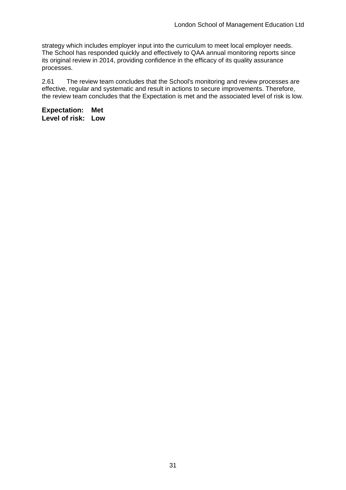strategy which includes employer input into the curriculum to meet local employer needs. The School has responded quickly and effectively to QAA annual monitoring reports since its original review in 2014, providing confidence in the efficacy of its quality assurance processes.

2.61 The review team concludes that the School's monitoring and review processes are effective, regular and systematic and result in actions to secure improvements. Therefore, the review team concludes that the Expectation is met and the associated level of risk is low.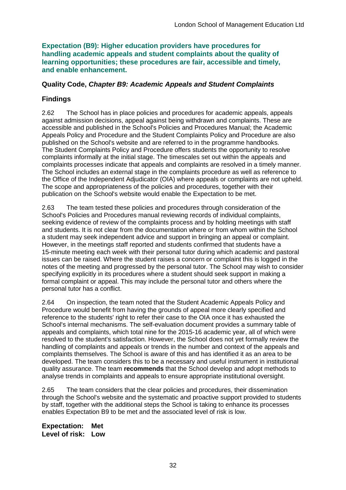**Expectation (B9): Higher education providers have procedures for handling academic appeals and student complaints about the quality of learning opportunities; these procedures are fair, accessible and timely, and enable enhancement.** 

### **Quality Code,** *Chapter B9: Academic Appeals and Student Complaints*

## **Findings**

2.62 The School has in place policies and procedures for academic appeals, appeals against admission decisions, appeal against being withdrawn and complaints. These are accessible and published in the School's Policies and Procedures Manual; the Academic Appeals Policy and Procedure and the Student Complaints Policy and Procedure are also published on the School's website and are referred to in the programme handbooks. The Student Complaints Policy and Procedure offers students the opportunity to resolve complaints informally at the initial stage. The timescales set out within the appeals and complaints processes indicate that appeals and complaints are resolved in a timely manner. The School includes an external stage in the complaints procedure as well as reference to the Office of the Independent Adjudicator (OIA) where appeals or complaints are not upheld. The scope and appropriateness of the policies and procedures, together with their publication on the School's website would enable the Expectation to be met.

2.63 The team tested these policies and procedures through consideration of the School's Policies and Procedures manual reviewing records of individual complaints, seeking evidence of review of the complaints process and by holding meetings with staff and students. It is not clear from the documentation where or from whom within the School a student may seek independent advice and support in bringing an appeal or complaint. However, in the meetings staff reported and students confirmed that students have a 15-minute meeting each week with their personal tutor during which academic and pastoral issues can be raised. Where the student raises a concern or complaint this is logged in the notes of the meeting and progressed by the personal tutor. The School may wish to consider specifying explicitly in its procedures where a student should seek support in making a formal complaint or appeal. This may include the personal tutor and others where the personal tutor has a conflict.

2.64 On inspection, the team noted that the Student Academic Appeals Policy and Procedure would benefit from having the grounds of appeal more clearly specified and reference to the students' right to refer their case to the OIA once it has exhausted the School's internal mechanisms. The self-evaluation document provides a summary table of appeals and complaints, which total nine for the 2015-16 academic year, all of which were resolved to the student's satisfaction. However, the School does not yet formally review the handling of complaints and appeals or trends in the number and context of the appeals and complaints themselves. The School is aware of this and has identified it as an area to be developed. The team considers this to be a necessary and useful instrument in institutional quality assurance. The team **recommends** that the School develop and adopt methods to analyse trends in complaints and appeals to ensure appropriate institutional oversight.

2.65 The team considers that the clear policies and procedures, their dissemination through the School's website and the systematic and proactive support provided to students by staff, together with the additional steps the School is taking to enhance its processes enables Expectation B9 to be met and the associated level of risk is low.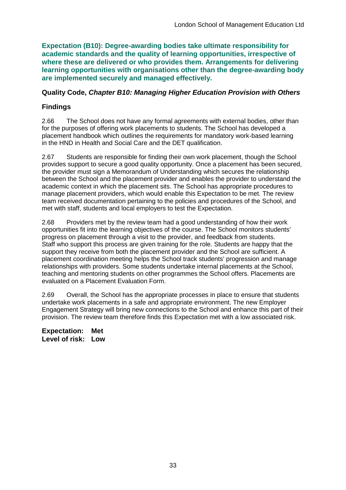**Expectation (B10): Degree-awarding bodies take ultimate responsibility for academic standards and the quality of learning opportunities, irrespective of where these are delivered or who provides them. Arrangements for delivering learning opportunities with organisations other than the degree-awarding body are implemented securely and managed effectively.**

### **Quality Code,** *Chapter B10: Managing Higher Education Provision with Others*

## **Findings**

2.66 The School does not have any formal agreements with external bodies, other than for the purposes of offering work placements to students. The School has developed a placement handbook which outlines the requirements for mandatory work-based learning in the HND in Health and Social Care and the DET qualification.

2.67 Students are responsible for finding their own work placement, though the School provides support to secure a good quality opportunity. Once a placement has been secured, the provider must sign a Memorandum of Understanding which secures the relationship between the School and the placement provider and enables the provider to understand the academic context in which the placement sits. The School has appropriate procedures to manage placement providers, which would enable this Expectation to be met. The review team received documentation pertaining to the policies and procedures of the School, and met with staff, students and local employers to test the Expectation.

2.68 Providers met by the review team had a good understanding of how their work opportunities fit into the learning objectives of the course. The School monitors students' progress on placement through a visit to the provider, and feedback from students. Staff who support this process are given training for the role. Students are happy that the support they receive from both the placement provider and the School are sufficient. A placement coordination meeting helps the School track students' progression and manage relationships with providers. Some students undertake internal placements at the School, teaching and mentoring students on other programmes the School offers. Placements are evaluated on a Placement Evaluation Form.

2.69 Overall, the School has the appropriate processes in place to ensure that students undertake work placements in a safe and appropriate environment. The new Employer Engagement Strategy will bring new connections to the School and enhance this part of their provision. The review team therefore finds this Expectation met with a low associated risk.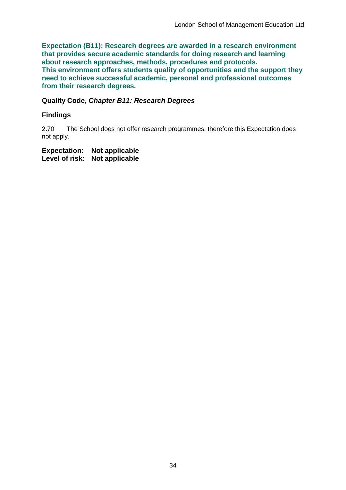**Expectation (B11): Research degrees are awarded in a research environment that provides secure academic standards for doing research and learning about research approaches, methods, procedures and protocols. This environment offers students quality of opportunities and the support they need to achieve successful academic, personal and professional outcomes from their research degrees.**

#### **Quality Code,** *Chapter B11: Research Degrees*

### **Findings**

2.70 The School does not offer research programmes, therefore this Expectation does not apply.

**Expectation: Not applicable Level of risk: Not applicable**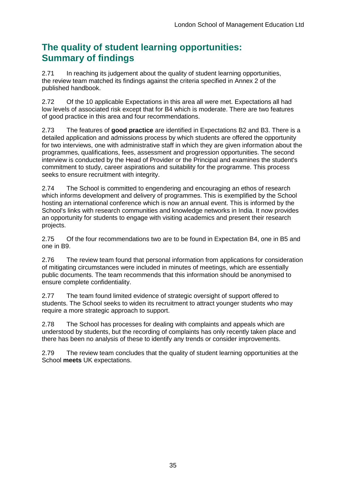## **The quality of student learning opportunities: Summary of findings**

2.71 In reaching its judgement about the quality of student learning opportunities, the review team matched its findings against the criteria specified in Annex 2 of the published handbook.

2.72 Of the 10 applicable Expectations in this area all were met. Expectations all had low levels of associated risk except that for B4 which is moderate. There are two features of good practice in this area and four recommendations.

2.73 The features of **good practice** are identified in Expectations B2 and B3. There is a detailed application and admissions process by which students are offered the opportunity for two interviews, one with administrative staff in which they are given information about the programmes, qualifications, fees, assessment and progression opportunities. The second interview is conducted by the Head of Provider or the Principal and examines the student's commitment to study, career aspirations and suitability for the programme. This process seeks to ensure recruitment with integrity.

2.74 The School is committed to engendering and encouraging an ethos of research which informs development and delivery of programmes. This is exemplified by the School hosting an international conference which is now an annual event. This is informed by the School's links with research communities and knowledge networks in India. It now provides an opportunity for students to engage with visiting academics and present their research projects.

2.75 Of the four recommendations two are to be found in Expectation B4, one in B5 and one in B9.

2.76 The review team found that personal information from applications for consideration of mitigating circumstances were included in minutes of meetings, which are essentially public documents. The team recommends that this information should be anonymised to ensure complete confidentiality.

2.77 The team found limited evidence of strategic oversight of support offered to students. The School seeks to widen its recruitment to attract younger students who may require a more strategic approach to support.

2.78 The School has processes for dealing with complaints and appeals which are understood by students, but the recording of complaints has only recently taken place and there has been no analysis of these to identify any trends or consider improvements.

2.79 The review team concludes that the quality of student learning opportunities at the School **meets** UK expectations.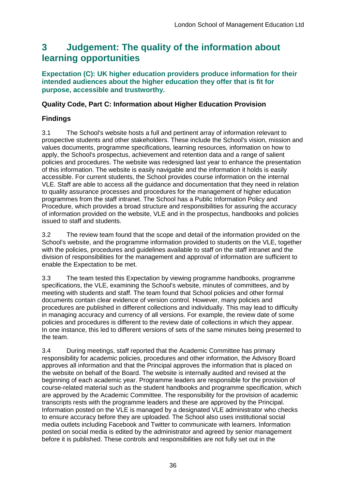## <span id="page-36-0"></span>**3 Judgement: The quality of the information about learning opportunities**

**Expectation (C): UK higher education providers produce information for their intended audiences about the higher education they offer that is fit for purpose, accessible and trustworthy.**

### **Quality Code, Part C: Information about Higher Education Provision**

## **Findings**

3.1 The School's website hosts a full and pertinent array of information relevant to prospective students and other stakeholders. These include the School's vision, mission and values documents, programme specifications, learning resources, information on how to apply, the School's prospectus, achievement and retention data and a range of salient policies and procedures. The website was redesigned last year to enhance the presentation of this information. The website is easily navigable and the information it holds is easily accessible. For current students, the School provides course information on the internal VLE. Staff are able to access all the guidance and documentation that they need in relation to quality assurance processes and procedures for the management of higher education programmes from the staff intranet. The School has a Public Information Policy and Procedure, which provides a broad structure and responsibilities for assuring the accuracy of information provided on the website, VLE and in the prospectus, handbooks and policies issued to staff and students.

3.2 The review team found that the scope and detail of the information provided on the School's website, and the programme information provided to students on the VLE, together with the policies, procedures and guidelines available to staff on the staff intranet and the division of responsibilities for the management and approval of information are sufficient to enable the Expectation to be met.

3.3 The team tested this Expectation by viewing programme handbooks, programme specifications, the VLE, examining the School's website, minutes of committees, and by meeting with students and staff. The team found that School policies and other formal documents contain clear evidence of version control. However, many policies and procedures are published in different collections and individually. This may lead to difficulty in managing accuracy and currency of all versions. For example, the review date of some policies and procedures is different to the review date of collections in which they appear. In one instance, this led to different versions of sets of the same minutes being presented to the team.

3.4 During meetings, staff reported that the Academic Committee has primary responsibility for academic policies, procedures and other information, the Advisory Board approves all information and that the Principal approves the information that is placed on the website on behalf of the Board. The website is internally audited and revised at the beginning of each academic year. Programme leaders are responsible for the provision of course-related material such as the student handbooks and programme specification, which are approved by the Academic Committee. The responsibility for the provision of academic transcripts rests with the programme leaders and these are approved by the Principal. Information posted on the VLE is managed by a designated VLE administrator who checks to ensure accuracy before they are uploaded. The School also uses institutional social media outlets including Facebook and Twitter to communicate with learners. Information posted on social media is edited by the administrator and agreed by senior management before it is published. These controls and responsibilities are not fully set out in the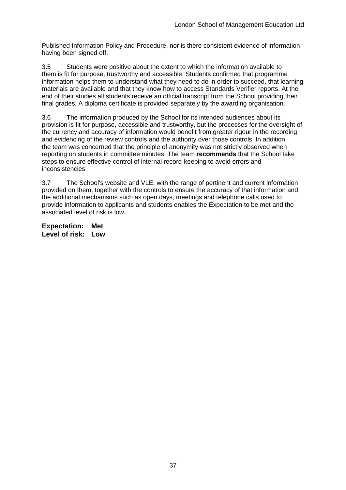Published Information Policy and Procedure, nor is there consistent evidence of information having been signed off.

3.5 Students were positive about the extent to which the information available to them is fit for purpose, trustworthy and accessible. Students confirmed that programme information helps them to understand what they need to do in order to succeed, that learning materials are available and that they know how to access Standards Verifier reports. At the end of their studies all students receive an official transcript from the School providing their final grades. A diploma certificate is provided separately by the awarding organisation.

3.6 The information produced by the School for its intended audiences about its provision is fit for purpose, accessible and trustworthy, but the processes for the oversight of the currency and accuracy of information would benefit from greater rigour in the recording and evidencing of the review controls and the authority over those controls. In addition, the team was concerned that the principle of anonymity was not strictly observed when reporting on students in committee minutes. The team **recommends** that the School take steps to ensure effective control of internal record-keeping to avoid errors and inconsistencies.

3.7 The School's website and VLE, with the range of pertinent and current information provided on them, together with the controls to ensure the accuracy of that information and the additional mechanisms such as open days, meetings and telephone calls used to provide information to applicants and students enables the Expectation to be met and the associated level of risk is low.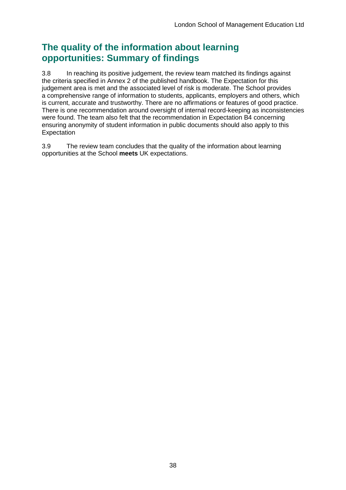## **The quality of the information about learning opportunities: Summary of findings**

3.8 In reaching its positive judgement, the review team matched its findings against the criteria specified in Annex 2 of the published handbook. The Expectation for this judgement area is met and the associated level of risk is moderate. The School provides a comprehensive range of information to students, applicants, employers and others, which is current, accurate and trustworthy. There are no affirmations or features of good practice. There is one recommendation around oversight of internal record-keeping as inconsistencies were found. The team also felt that the recommendation in Expectation B4 concerning ensuring anonymity of student information in public documents should also apply to this **Expectation** 

3.9 The review team concludes that the quality of the information about learning opportunities at the School **meets** UK expectations.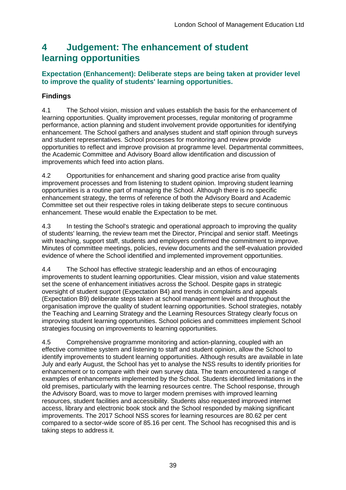## <span id="page-39-0"></span>**4 Judgement: The enhancement of student learning opportunities**

### **Expectation (Enhancement): Deliberate steps are being taken at provider level to improve the quality of students' learning opportunities.**

## **Findings**

4.1 The School vision, mission and values establish the basis for the enhancement of learning opportunities. Quality improvement processes, regular monitoring of programme performance, action planning and student involvement provide opportunities for identifying enhancement. The School gathers and analyses student and staff opinion through surveys and student representatives. School processes for monitoring and review provide opportunities to reflect and improve provision at programme level. Departmental committees, the Academic Committee and Advisory Board allow identification and discussion of improvements which feed into action plans.

4.2 Opportunities for enhancement and sharing good practice arise from quality improvement processes and from listening to student opinion. Improving student learning opportunities is a routine part of managing the School. Although there is no specific enhancement strategy, the terms of reference of both the Advisory Board and Academic Committee set out their respective roles in taking deliberate steps to secure continuous enhancement. These would enable the Expectation to be met.

4.3 In testing the School's strategic and operational approach to improving the quality of students' learning, the review team met the Director, Principal and senior staff. Meetings with teaching, support staff, students and employers confirmed the commitment to improve. Minutes of committee meetings, policies, review documents and the self-evaluation provided evidence of where the School identified and implemented improvement opportunities.

4.4 The School has effective strategic leadership and an ethos of encouraging improvements to student learning opportunities. Clear mission, vision and value statements set the scene of enhancement initiatives across the School. Despite gaps in strategic oversight of student support (Expectation B4) and trends in complaints and appeals (Expectation B9) deliberate steps taken at school management level and throughout the organisation improve the quality of student learning opportunities. School strategies, notably the Teaching and Learning Strategy and the Learning Resources Strategy clearly focus on improving student learning opportunities. School policies and committees implement School strategies focusing on improvements to learning opportunities.

4.5 Comprehensive programme monitoring and action-planning, coupled with an effective committee system and listening to staff and student opinion, allow the School to identify improvements to student learning opportunities. Although results are available in late July and early August, the School has yet to analyse the NSS results to identify priorities for enhancement or to compare with their own survey data. The team encountered a range of examples of enhancements implemented by the School. Students identified limitations in the old premises, particularly with the learning resources centre. The School response, through the Advisory Board, was to move to larger modern premises with improved learning resources, student facilities and accessibility. Students also requested improved internet access, library and electronic book stock and the School responded by making significant improvements. The 2017 School NSS scores for learning resources are 80.62 per cent compared to a sector-wide score of 85.16 per cent. The School has recognised this and is taking steps to address it.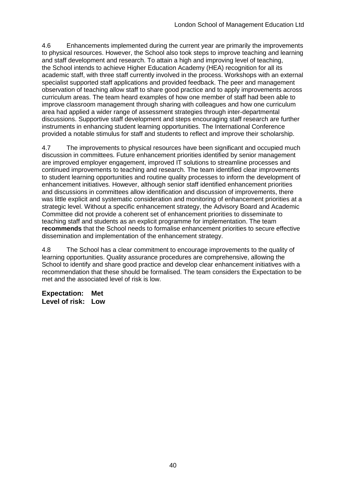4.6 Enhancements implemented during the current year are primarily the improvements to physical resources. However, the School also took steps to improve teaching and learning and staff development and research. To attain a high and improving level of teaching, the School intends to achieve Higher Education Academy (HEA) recognition for all its academic staff, with three staff currently involved in the process. Workshops with an external specialist supported staff applications and provided feedback. The peer and management observation of teaching allow staff to share good practice and to apply improvements across curriculum areas. The team heard examples of how one member of staff had been able to improve classroom management through sharing with colleagues and how one curriculum area had applied a wider range of assessment strategies through inter-departmental discussions. Supportive staff development and steps encouraging staff research are further instruments in enhancing student learning opportunities. The International Conference provided a notable stimulus for staff and students to reflect and improve their scholarship.

4.7 The improvements to physical resources have been significant and occupied much discussion in committees. Future enhancement priorities identified by senior management are improved employer engagement, improved IT solutions to streamline processes and continued improvements to teaching and research. The team identified clear improvements to student learning opportunities and routine quality processes to inform the development of enhancement initiatives. However, although senior staff identified enhancement priorities and discussions in committees allow identification and discussion of improvements, there was little explicit and systematic consideration and monitoring of enhancement priorities at a strategic level. Without a specific enhancement strategy, the Advisory Board and Academic Committee did not provide a coherent set of enhancement priorities to disseminate to teaching staff and students as an explicit programme for implementation. The team **recommends** that the School needs to formalise enhancement priorities to secure effective dissemination and implementation of the enhancement strategy.

4.8 The School has a clear commitment to encourage improvements to the quality of learning opportunities. Quality assurance procedures are comprehensive, allowing the School to identify and share good practice and develop clear enhancement initiatives with a recommendation that these should be formalised. The team considers the Expectation to be met and the associated level of risk is low.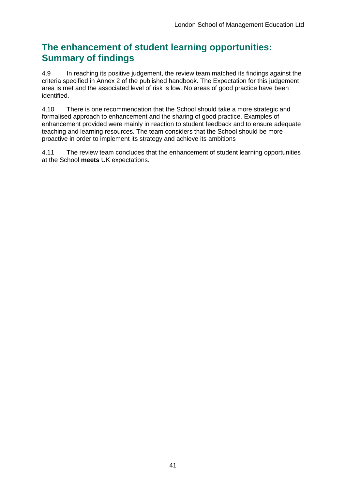## **The enhancement of student learning opportunities: Summary of findings**

4.9 In reaching its positive judgement, the review team matched its findings against the criteria specified in Annex 2 of the published handbook. The Expectation for this judgement area is met and the associated level of risk is low. No areas of good practice have been identified.

4.10 There is one recommendation that the School should take a more strategic and formalised approach to enhancement and the sharing of good practice. Examples of enhancement provided were mainly in reaction to student feedback and to ensure adequate teaching and learning resources. The team considers that the School should be more proactive in order to implement its strategy and achieve its ambitions

4.11 The review team concludes that the enhancement of student learning opportunities at the School **meets** UK expectations.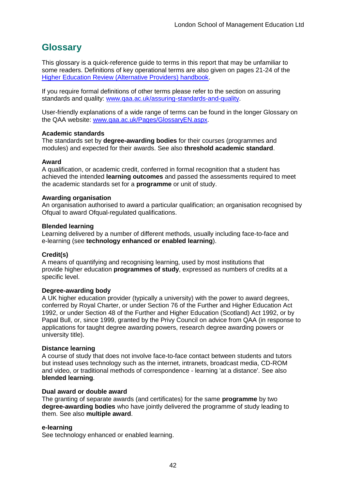## <span id="page-42-0"></span>**Glossary**

This glossary is a quick-reference guide to terms in this report that may be unfamiliar to some readers. Definitions of key operational terms are also given on pages 21-24 of the [Higher Education Review \(Alternative Providers\) handbook.](http://www.qaa.ac.uk/publications/information-and-guidance/publication/?PubID=3094)

If you require formal definitions of other terms please refer to the section on assuring standards and quality: [www.qaa.ac.uk/assuring-standards-and-quality.](www.qaa.ac.uk/assuring-standards-and-quality)

User-friendly explanations of a wide range of terms can be found in the longer Glossary on the QAA website: [www.qaa.ac.uk/Pages/GlossaryEN.aspx.](http://www.qaa.ac.uk/Pages/GlossaryEN.aspx)

#### **Academic standards**

The standards set by **degree-awarding bodies** for their courses (programmes and modules) and expected for their awards. See also **threshold academic standard**.

#### **Award**

A qualification, or academic credit, conferred in formal recognition that a student has achieved the intended **learning outcomes** and passed the assessments required to meet the academic standards set for a **programme** or unit of study.

#### **Awarding organisation**

An organisation authorised to award a particular qualification; an organisation recognised by Ofqual to award Ofqual-regulated qualifications.

#### **Blended learning**

Learning delivered by a number of different methods, usually including face-to-face and e-learning (see **technology enhanced or enabled learning**).

#### **Credit(s)**

A means of quantifying and recognising learning, used by most institutions that provide higher education **programmes of study**, expressed as numbers of credits at a specific level.

#### **Degree-awarding body**

A UK higher education provider (typically a university) with the power to award degrees, conferred by Royal Charter, or under Section 76 of the Further and Higher Education Act 1992, or under Section 48 of the Further and Higher Education (Scotland) Act 1992, or by Papal Bull, or, since 1999, granted by the Privy Council on advice from QAA (in response to applications for taught degree awarding powers, research degree awarding powers or university title).

#### **Distance learning**

A course of study that does not involve face-to-face contact between students and tutors but instead uses technology such as the internet, intranets, broadcast media, CD-ROM and video, or traditional methods of correspondence - learning 'at a distance'. See also **blended learning**.

#### **Dual award or double award**

The granting of separate awards (and certificates) for the same **programme** by two **degree-awarding bodies** who have jointly delivered the programme of study leading to them. See also **multiple award**.

#### **e-learning**

See technology enhanced or enabled learning.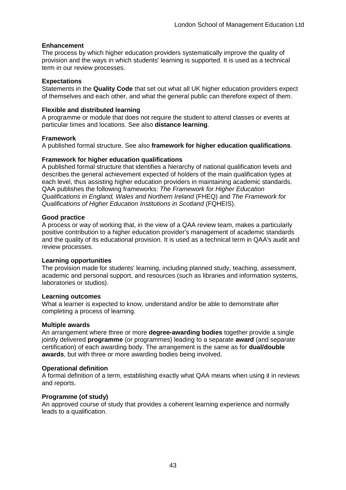#### **Enhancement**

The process by which higher education providers systematically improve the quality of provision and the ways in which students' learning is supported. It is used as a technical term in our review processes.

#### **Expectations**

Statements in the **Quality Code** that set out what all UK higher education providers expect of themselves and each other, and what the general public can therefore expect of them.

#### **Flexible and distributed learning**

A programme or module that does not require the student to attend classes or events at particular times and locations. See also **distance learning**.

#### **Framework**

A published formal structure. See also **framework for higher education qualifications**.

#### **Framework for higher education qualifications**

A published formal structure that identifies a hierarchy of national qualification levels and describes the general achievement expected of holders of the main qualification types at each level, thus assisting higher education providers in maintaining academic standards. QAA publishes the following frameworks: *The Framework for Higher Education Qualifications in England, Wales and Northern Ireland* (FHEQ) and *The Framework for Qualifications of Higher Education Institutions in Scotland* (FQHEIS).

#### **Good practice**

A process or way of working that, in the view of a QAA review team, makes a particularly positive contribution to a higher education provider's management of academic standards and the quality of its educational provision. It is used as a technical term in QAA's audit and review processes.

#### **Learning opportunities**

The provision made for students' learning, including planned study, teaching, assessment, academic and personal support, and resources (such as libraries and information systems, laboratories or studios).

#### **Learning outcomes**

What a learner is expected to know, understand and/or be able to demonstrate after completing a process of learning.

#### **Multiple awards**

An arrangement where three or more **degree-awarding bodies** together provide a single jointly delivered **programme** (or programmes) leading to a separate **award** (and separate certification) of each awarding body. The arrangement is the same as for **dual/double awards**, but with three or more awarding bodies being involved.

#### **Operational definition**

A formal definition of a term, establishing exactly what QAA means when using it in reviews and reports.

#### **Programme (of study)**

An approved course of study that provides a coherent learning experience and normally leads to a qualification.